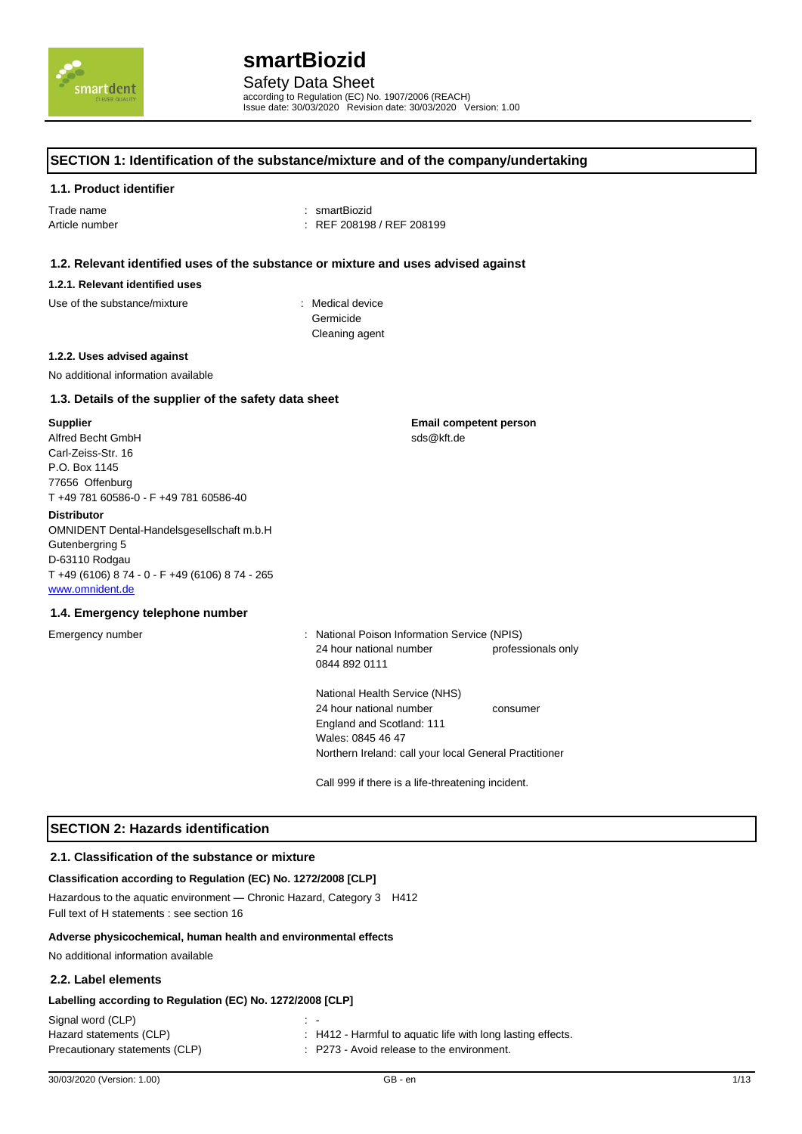

according to Regulation (EC) No. 1907/2006 (REACH) Issue date: 30/03/2020 Revision date: 30/03/2020 Version: 1.00

### **SECTION 1: Identification of the substance/mixture and of the company/undertaking**

#### **1.1. Product identifier**

Trade name : smartBiozid

Article number : REF 208198 / REF 208199

## **1.2. Relevant identified uses of the substance or mixture and uses advised against**

#### **1.2.1. Relevant identified uses**

Use of the substance/mixture in the substance in the set of the substance in the substance in the substance in the substance in the substance in the substance in the substance in the substance in the substance in the subst

Germicide Cleaning agent

#### **1.2.2. Uses advised against**

No additional information available

## **1.3. Details of the supplier of the safety data sheet**

#### **Supplier**

Alfred Becht GmbH Carl-Zeiss-Str. 16 P.O. Box 1145 77656 Offenburg T +49 781 60586-0 - F +49 781 60586-40

#### **Distributor**

OMNIDENT Dental-Handelsgesellschaft m.b.H Gutenbergring 5 D-63110 Rodgau T +49 (6106) 8 74 - 0 - F +49 (6106) 8 74 - 265 www.omnident.de

## **1.4. Emergency telephone number**

Emergency number : National Poison Information Service (NPIS) 24 hour national number professionals only 0844 892 0111

**Email competent person**

sds@kft.de

National Health Service (NHS) 24 hour national number consumer England and Scotland: 111 Wales: 0845 46 47 Northern Ireland: call your local General Practitioner

Call 999 if there is a life-threatening incident.

## **SECTION 2: Hazards identification**

#### **2.1. Classification of the substance or mixture**

## **Classification according to Regulation (EC) No. 1272/2008 [CLP]**

Hazardous to the aquatic environment — Chronic Hazard, Category 3 H412 Full text of H statements : see section 16

#### **Adverse physicochemical, human health and environmental effects**

No additional information available

## **2.2. Label elements**

#### **Labelling according to Regulation (EC) No. 1272/2008 [CLP]**

| Signal word (CLP)              |                                                             |
|--------------------------------|-------------------------------------------------------------|
| Hazard statements (CLP)        | : H412 - Harmful to aquatic life with long lasting effects. |
| Precautionary statements (CLP) | : P273 - Avoid release to the environment.                  |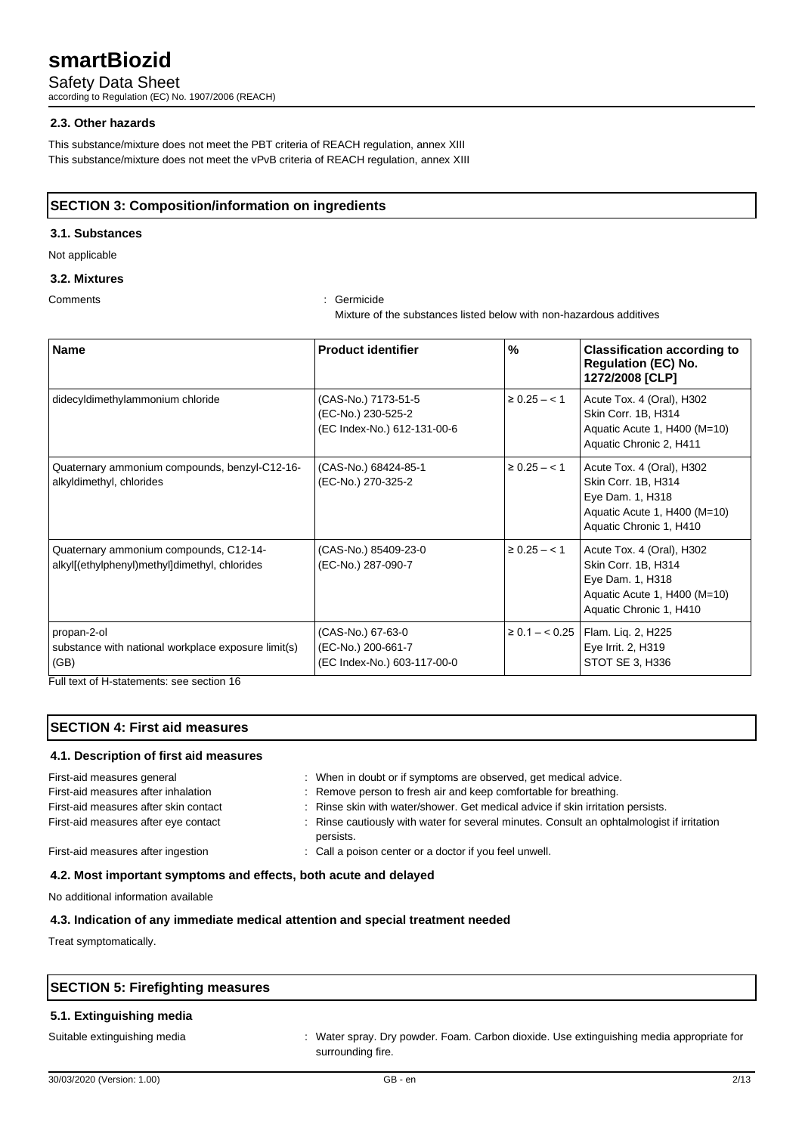Safety Data Sheet

according to Regulation (EC) No. 1907/2006 (REACH)

### **2.3. Other hazards**

This substance/mixture does not meet the PBT criteria of REACH regulation, annex XIII This substance/mixture does not meet the vPvB criteria of REACH regulation, annex XIII

## **SECTION 3: Composition/information on ingredients**

## **3.1. Substances**

Not applicable

## **3.2. Mixtures**

Comments : Germicide

Mixture of the substances listed below with non-hazardous additives

| <b>Name</b>                                                                             | <b>Product identifier</b>                                                | %                 | <b>Classification according to</b><br><b>Regulation (EC) No.</b><br>1272/2008 [CLP]                                             |
|-----------------------------------------------------------------------------------------|--------------------------------------------------------------------------|-------------------|---------------------------------------------------------------------------------------------------------------------------------|
| didecyldimethylammonium chloride                                                        | (CAS-No.) 7173-51-5<br>(EC-No.) 230-525-2<br>(EC Index-No.) 612-131-00-6 | $\geq 0.25 - 1.5$ | Acute Tox. 4 (Oral), H302<br>Skin Corr. 1B, H314<br>Aquatic Acute 1, H400 (M=10)<br>Aquatic Chronic 2, H411                     |
| Quaternary ammonium compounds, benzyl-C12-16-<br>alkyldimethyl, chlorides               | (CAS-No.) 68424-85-1<br>(EC-No.) 270-325-2                               | $\geq 0.25 - 1$   | Acute Tox. 4 (Oral), H302<br>Skin Corr. 1B, H314<br>Eye Dam. 1, H318<br>Aquatic Acute 1, H400 (M=10)<br>Aquatic Chronic 1, H410 |
| Quaternary ammonium compounds, C12-14-<br>alkyl[(ethylphenyl)methyl]dimethyl, chlorides | (CAS-No.) 85409-23-0<br>(EC-No.) 287-090-7                               | $\geq 0.25 - 1$   | Acute Tox. 4 (Oral), H302<br>Skin Corr. 1B, H314<br>Eye Dam. 1, H318<br>Aquatic Acute 1, H400 (M=10)<br>Aquatic Chronic 1, H410 |
| propan-2-ol<br>substance with national workplace exposure limit(s)<br>(GB)              | (CAS-No.) 67-63-0<br>(EC-No.) 200-661-7<br>(EC Index-No.) 603-117-00-0   |                   | ≥ 0.1 – < 0.25   Flam. Liq. 2, H225<br>Eye Irrit. 2, H319<br>STOT SE 3, H336                                                    |

Full text of H-statements: see section 16

## **SECTION 4: First aid measures**

### **4.1. Description of first aid measures**

| First-aid measures general            | : When in doubt or if symptoms are observed, get medical advice.                                        |
|---------------------------------------|---------------------------------------------------------------------------------------------------------|
| First-aid measures after inhalation   | : Remove person to fresh air and keep comfortable for breathing.                                        |
| First-aid measures after skin contact | : Rinse skin with water/shower. Get medical advice if skin irritation persists.                         |
| First-aid measures after eye contact  | : Rinse cautiously with water for several minutes. Consult an ophtalmologist if irritation<br>persists. |
| First-aid measures after ingestion    | : Call a poison center or a doctor if you feel unwell.                                                  |

## **4.2. Most important symptoms and effects, both acute and delayed**

No additional information available

## **4.3. Indication of any immediate medical attention and special treatment needed**

Treat symptomatically.

| <b>SECTION 5: Firefighting measures</b> |  |  |
|-----------------------------------------|--|--|
|                                         |  |  |

## **5.1. Extinguishing media**

Suitable extinguishing media : Water spray. Dry powder. Foam. Carbon dioxide. Use extinguishing media appropriate for

surrounding fire.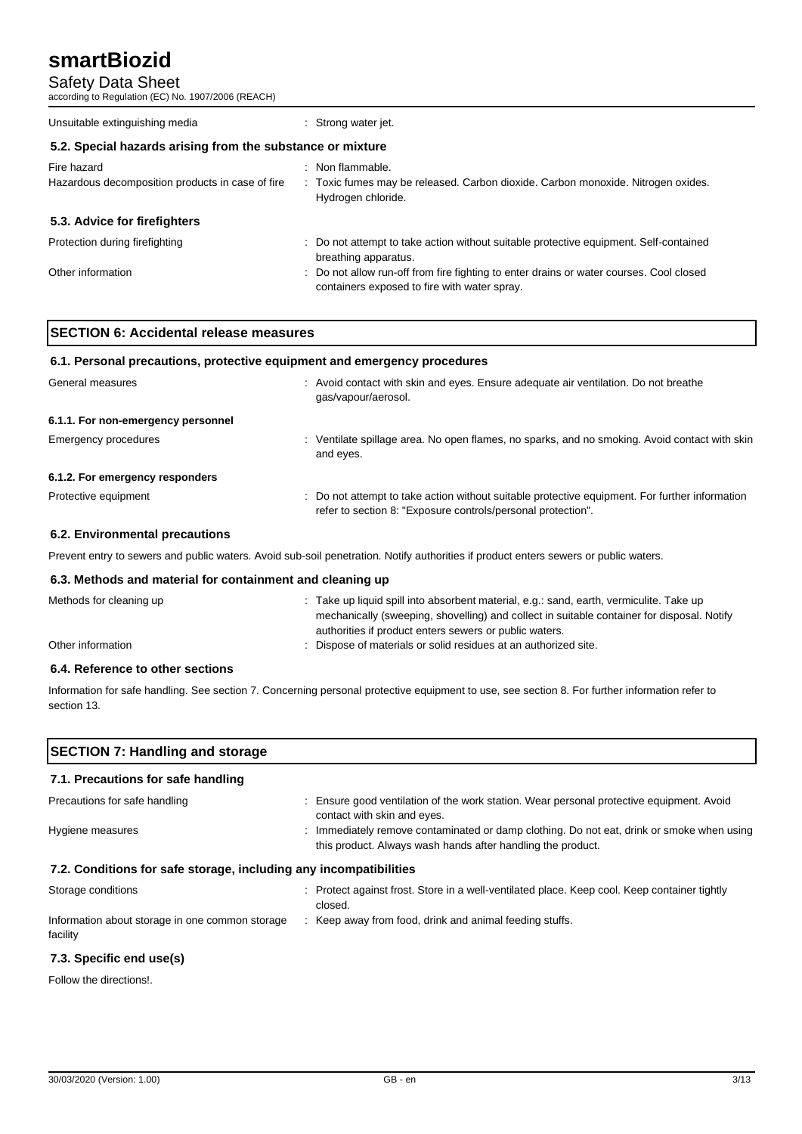Safety Data Sheet

according to Regulation (EC) No. 1907/2006 (REACH)

| Unsuitable extinguishing media                                  | : Strong water jet.                                                                                                                     |  |  |
|-----------------------------------------------------------------|-----------------------------------------------------------------------------------------------------------------------------------------|--|--|
| 5.2. Special hazards arising from the substance or mixture      |                                                                                                                                         |  |  |
| Fire hazard<br>Hazardous decomposition products in case of fire | : Non flammable.<br>: Toxic fumes may be released. Carbon dioxide. Carbon monoxide. Nitrogen oxides.<br>Hydrogen chloride.              |  |  |
| 5.3. Advice for firefighters                                    |                                                                                                                                         |  |  |
| Protection during firefighting                                  | : Do not attempt to take action without suitable protective equipment. Self-contained<br>breathing apparatus.                           |  |  |
| Other information                                               | : Do not allow run-off from fire fighting to enter drains or water courses. Cool closed<br>containers exposed to fire with water spray. |  |  |

| <b>SECTION 6: Accidental release measures</b>                            |  |
|--------------------------------------------------------------------------|--|
| 6.1. Personal precautions, protective equipment and emergency procedures |  |

| General measures                   | : Avoid contact with skin and eyes. Ensure adequate air ventilation. Do not breathe<br>gas/vapour/aerosol.                                                     |
|------------------------------------|----------------------------------------------------------------------------------------------------------------------------------------------------------------|
| 6.1.1. For non-emergency personnel |                                                                                                                                                                |
| Emergency procedures               | : Ventilate spillage area. No open flames, no sparks, and no smoking. Avoid contact with skin<br>and eyes.                                                     |
| 6.1.2. For emergency responders    |                                                                                                                                                                |
| Protective equipment               | : Do not attempt to take action without suitable protective equipment. For further information<br>refer to section 8: "Exposure controls/personal protection". |
|                                    |                                                                                                                                                                |

## **6.2. Environmental precautions**

Prevent entry to sewers and public waters. Avoid sub-soil penetration. Notify authorities if product enters sewers or public waters.

### **6.3. Methods and material for containment and cleaning up**

| Methods for cleaning up | : Take up liquid spill into absorbent material, e.g.: sand, earth, vermiculite. Take up    |
|-------------------------|--------------------------------------------------------------------------------------------|
|                         | mechanically (sweeping, shovelling) and collect in suitable container for disposal. Notify |
|                         | authorities if product enters sewers or public waters.                                     |
| Other information       | : Dispose of materials or solid residues at an authorized site.                            |
|                         |                                                                                            |

## **6.4. Reference to other sections**

Information for safe handling. See section 7. Concerning personal protective equipment to use, see section 8. For further information refer to section 13.

| <b>SECTION 7: Handling and storage</b><br>7.1. Precautions for safe handling |                                                                                                                                                          |  |
|------------------------------------------------------------------------------|----------------------------------------------------------------------------------------------------------------------------------------------------------|--|
|                                                                              |                                                                                                                                                          |  |
| Hygiene measures                                                             | : Immediately remove contaminated or damp clothing. Do not eat, drink or smoke when using<br>this product. Always wash hands after handling the product. |  |
| 7.2. Conditions for safe storage, including any incompatibilities            |                                                                                                                                                          |  |
| Storage conditions                                                           | : Protect against frost. Store in a well-ventilated place. Keep cool. Keep container tightly<br>closed.                                                  |  |
| Information about storage in one common storage                              | : Keep away from food, drink and animal feeding stuffs.                                                                                                  |  |

### **7.3. Specific end use(s)**

Follow the directions!.

facility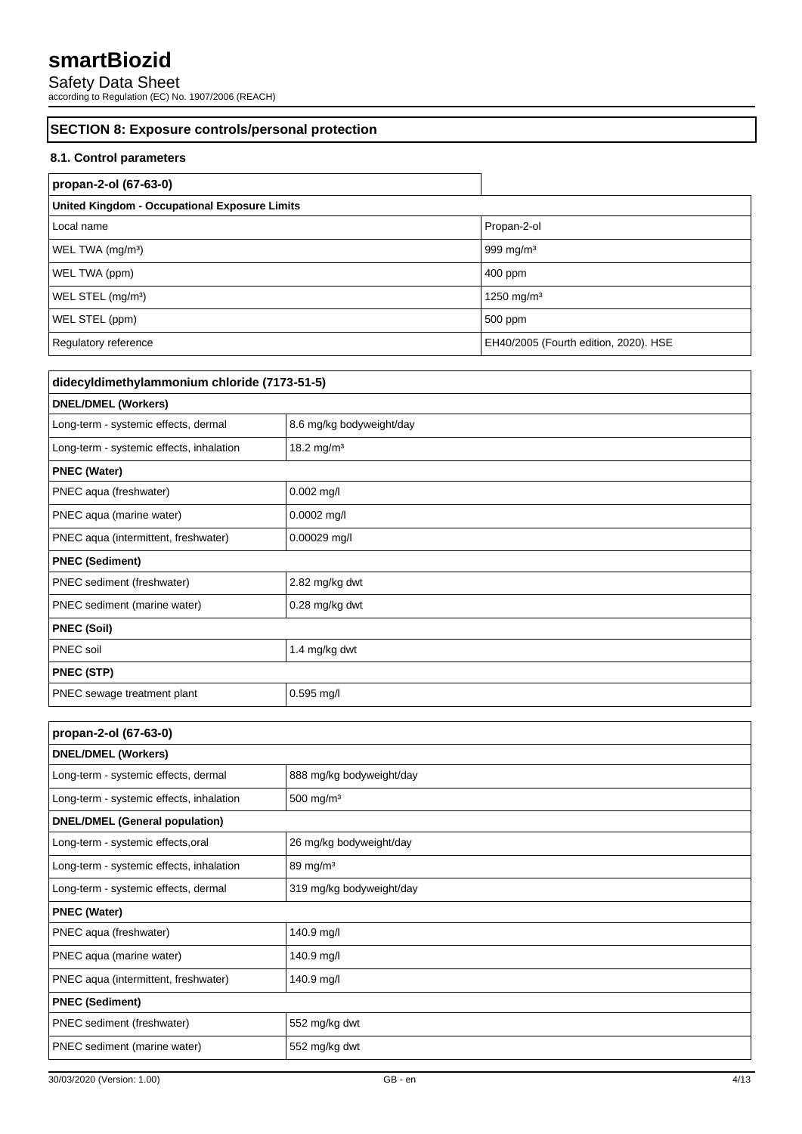Safety Data Sheet

according to Regulation (EC) No. 1907/2006 (REACH)

## **SECTION 8: Exposure controls/personal protection**

## **8.1. Control parameters**

h

| propan-2-ol (67-63-0)                                |                                       |  |
|------------------------------------------------------|---------------------------------------|--|
| <b>United Kingdom - Occupational Exposure Limits</b> |                                       |  |
| Local name                                           | Propan-2-ol                           |  |
| WEL TWA (mg/m <sup>3</sup> )                         | 999 mg/m $3$                          |  |
| WEL TWA (ppm)                                        | 400 ppm                               |  |
| WEL STEL (mg/m <sup>3</sup> )                        | 1250 mg/m <sup>3</sup>                |  |
| WEL STEL (ppm)                                       | 500 ppm                               |  |
| Regulatory reference                                 | EH40/2005 (Fourth edition, 2020). HSE |  |

| didecyldimethylammonium chloride (7173-51-5) |                          |  |
|----------------------------------------------|--------------------------|--|
| <b>DNEL/DMEL (Workers)</b>                   |                          |  |
| Long-term - systemic effects, dermal         | 8.6 mg/kg bodyweight/day |  |
| Long-term - systemic effects, inhalation     | 18.2 mg/m <sup>3</sup>   |  |
| <b>PNEC (Water)</b>                          |                          |  |
| PNEC aqua (freshwater)                       | 0.002 mg/l               |  |
| PNEC aqua (marine water)                     | $0.0002$ mg/l            |  |
| PNEC aqua (intermittent, freshwater)         | $0.00029$ mg/l           |  |
| <b>PNEC (Sediment)</b>                       |                          |  |
| PNEC sediment (freshwater)                   | 2.82 mg/kg dwt           |  |
| PNEC sediment (marine water)                 | 0.28 mg/kg dwt           |  |
| <b>PNEC (Soil)</b>                           |                          |  |
| PNEC soil                                    | 1.4 mg/kg dwt            |  |
| <b>PNEC (STP)</b>                            |                          |  |
| PNEC sewage treatment plant                  | $0.595$ mg/l             |  |

| propan-2-ol (67-63-0)                    |                          |  |
|------------------------------------------|--------------------------|--|
| <b>DNEL/DMEL (Workers)</b>               |                          |  |
| Long-term - systemic effects, dermal     | 888 mg/kg bodyweight/day |  |
| Long-term - systemic effects, inhalation | 500 mg/m <sup>3</sup>    |  |
| <b>DNEL/DMEL (General population)</b>    |                          |  |
| Long-term - systemic effects, oral       | 26 mg/kg bodyweight/day  |  |
| Long-term - systemic effects, inhalation | $89 \text{ mg/m}^3$      |  |
| Long-term - systemic effects, dermal     | 319 mg/kg bodyweight/day |  |
| <b>PNEC (Water)</b>                      |                          |  |
| PNEC aqua (freshwater)                   | 140.9 mg/l               |  |
| PNEC aqua (marine water)                 | 140.9 mg/l               |  |
| PNEC aqua (intermittent, freshwater)     | 140.9 mg/l               |  |
| <b>PNEC (Sediment)</b>                   |                          |  |
| PNEC sediment (freshwater)               | 552 mg/kg dwt            |  |
| PNEC sediment (marine water)             | 552 mg/kg dwt            |  |
|                                          |                          |  |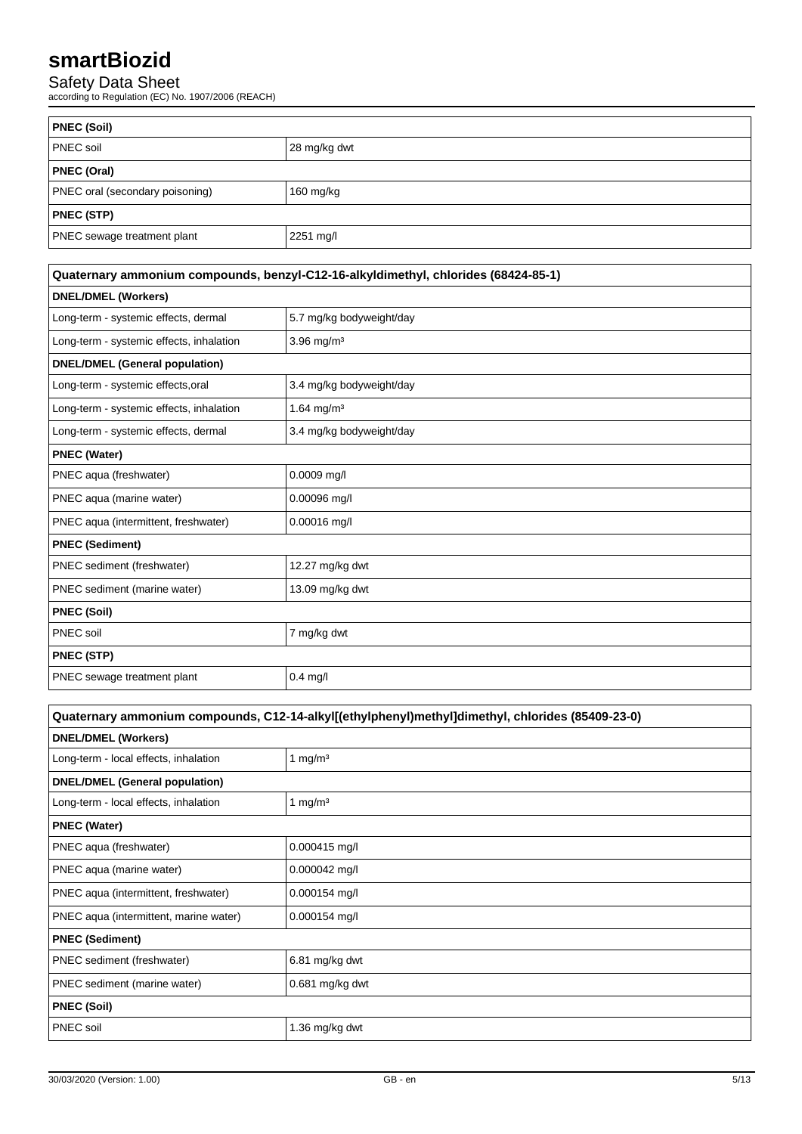Safety Data Sheet

according to Regulation (EC) No. 1907/2006 (REACH)

| <b>PNEC (Soil)</b>              |              |  |
|---------------------------------|--------------|--|
| <b>PNEC</b> soil                | 28 mg/kg dwt |  |
| <b>PNEC (Oral)</b>              |              |  |
| PNEC oral (secondary poisoning) | 160 mg/kg    |  |
| <b>PNEC (STP)</b>               |              |  |
| PNEC sewage treatment plant     | 2251 mg/l    |  |

| Quaternary ammonium compounds, benzyl-C12-16-alkyldimethyl, chlorides (68424-85-1) |                          |  |
|------------------------------------------------------------------------------------|--------------------------|--|
| <b>DNEL/DMEL (Workers)</b>                                                         |                          |  |
| Long-term - systemic effects, dermal                                               | 5.7 mg/kg bodyweight/day |  |
| Long-term - systemic effects, inhalation                                           | 3.96 mg/m <sup>3</sup>   |  |
| <b>DNEL/DMEL (General population)</b>                                              |                          |  |
| Long-term - systemic effects, oral                                                 | 3.4 mg/kg bodyweight/day |  |
| Long-term - systemic effects, inhalation                                           | 1.64 mg/m <sup>3</sup>   |  |
| Long-term - systemic effects, dermal                                               | 3.4 mg/kg bodyweight/day |  |
| <b>PNEC (Water)</b>                                                                |                          |  |
| PNEC aqua (freshwater)                                                             | $0.0009$ mg/l            |  |
| PNEC aqua (marine water)                                                           | 0.00096 mg/l             |  |
| PNEC aqua (intermittent, freshwater)                                               | $0.00016$ mg/l           |  |
| <b>PNEC (Sediment)</b>                                                             |                          |  |
| PNEC sediment (freshwater)                                                         | 12.27 mg/kg dwt          |  |
| PNEC sediment (marine water)                                                       | 13.09 mg/kg dwt          |  |
| <b>PNEC (Soil)</b>                                                                 |                          |  |
| PNEC soil                                                                          | 7 mg/kg dwt              |  |
| <b>PNEC (STP)</b>                                                                  |                          |  |
| PNEC sewage treatment plant                                                        | $0.4$ mg/l               |  |
|                                                                                    |                          |  |

| Quaternary ammonium compounds, C12-14-alkyl[(ethylphenyl)methyl]dimethyl, chlorides (85409-23-0) |                     |  |
|--------------------------------------------------------------------------------------------------|---------------------|--|
| <b>DNEL/DMEL (Workers)</b>                                                                       |                     |  |
| Long-term - local effects, inhalation                                                            | 1 mg/m $3$          |  |
| <b>DNEL/DMEL (General population)</b>                                                            |                     |  |
| Long-term - local effects, inhalation                                                            | 1 mg/m <sup>3</sup> |  |
| <b>PNEC (Water)</b>                                                                              |                     |  |
| PNEC aqua (freshwater)                                                                           | 0.000415 mg/l       |  |
| PNEC aqua (marine water)                                                                         | 0.000042 mg/l       |  |
| PNEC aqua (intermittent, freshwater)                                                             | 0.000154 mg/l       |  |
| PNEC aqua (intermittent, marine water)                                                           | $0.000154$ mg/l     |  |
| <b>PNEC (Sediment)</b>                                                                           |                     |  |
| PNEC sediment (freshwater)                                                                       | 6.81 mg/kg dwt      |  |
| PNEC sediment (marine water)                                                                     | $0.681$ mg/kg dwt   |  |
| <b>PNEC (Soil)</b>                                                                               |                     |  |
| PNEC soil                                                                                        | 1.36 mg/kg dwt      |  |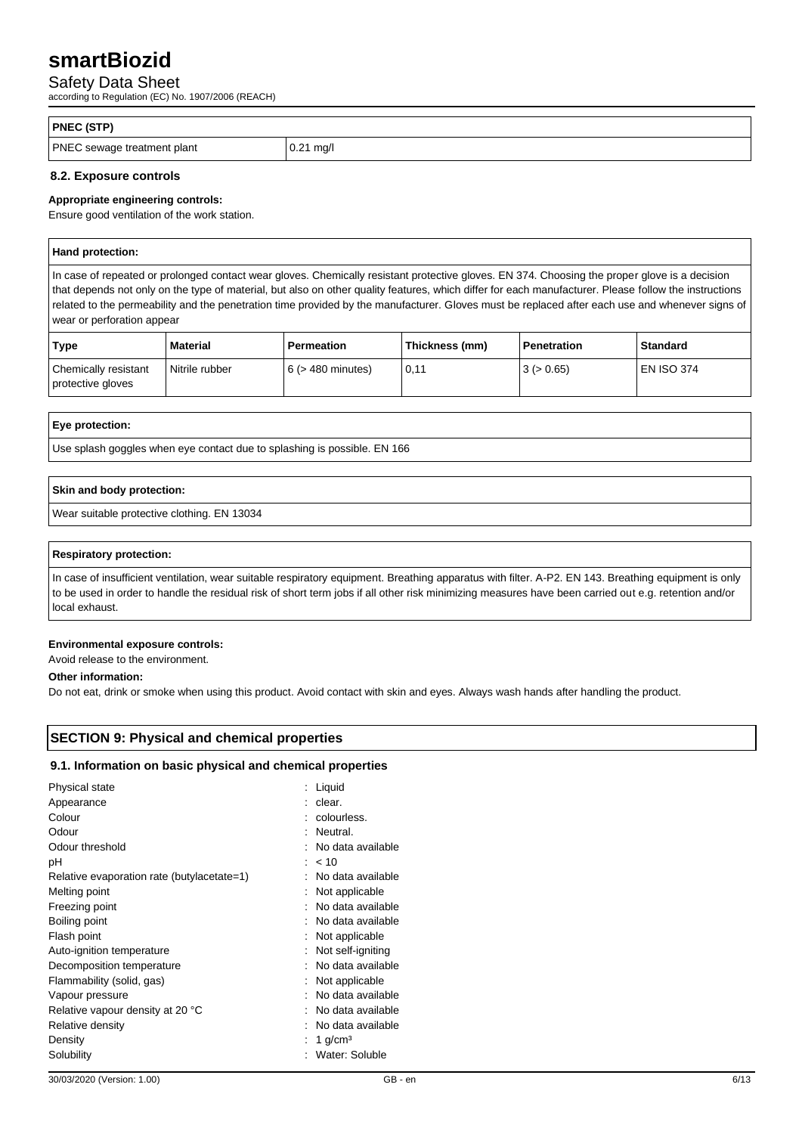## Safety Data Sheet

according to Regulation (EC) No. 1907/2006 (REACH)

| <b>PNEC (STP)</b>           |             |
|-----------------------------|-------------|
| PNEC sewage treatment plant | $0.21$ mg/l |

## **8.2. Exposure controls**

## **Appropriate engineering controls:**

Ensure good ventilation of the work station.

|  | Hand protection: |  |  |  |  |  |  |
|--|------------------|--|--|--|--|--|--|
|--|------------------|--|--|--|--|--|--|

In case of repeated or prolonged contact wear gloves. Chemically resistant protective gloves. EN 374. Choosing the proper glove is a decision that depends not only on the type of material, but also on other quality features, which differ for each manufacturer. Please follow the instructions related to the permeability and the penetration time provided by the manufacturer. Gloves must be replaced after each use and whenever signs of wear or perforation appear

| Type                                      | <b>Material</b> | <b>Permeation</b> | Thickness (mm) | Penetration | Standard     |
|-------------------------------------------|-----------------|-------------------|----------------|-------------|--------------|
| Chemically resistant<br>protective gloves | Nitrile rubber  | 6 (> 480 minutes) | 0,11           | 3 (> 0.65)  | l EN ISO 374 |

### **Eye protection:**

Use splash goggles when eye contact due to splashing is possible. EN 166

## **Skin and body protection:**

Wear suitable protective clothing. EN 13034

#### **Respiratory protection:**

In case of insufficient ventilation, wear suitable respiratory equipment. Breathing apparatus with filter. A-P2. EN 143. Breathing equipment is only to be used in order to handle the residual risk of short term jobs if all other risk minimizing measures have been carried out e.g. retention and/or local exhaust.

## **Environmental exposure controls:**

Avoid release to the environment.

### **Other information:**

Do not eat, drink or smoke when using this product. Avoid contact with skin and eyes. Always wash hands after handling the product.

## **SECTION 9: Physical and chemical properties**

### **9.1. Information on basic physical and chemical properties**

| Physical state<br>Appearance               | : Liquid<br>: clear. |
|--------------------------------------------|----------------------|
| Colour                                     | : colourless.        |
| Odour                                      | : Neutral.           |
| Odour threshold                            | No data available    |
| рH                                         | $: 10^{-1}$          |
| Relative evaporation rate (butylacetate=1) | : No data available  |
| Melting point                              | : Not applicable     |
| Freezing point                             | : No data available  |
| Boiling point                              | : No data available  |
| Flash point                                | Not applicable       |
| Auto-ignition temperature                  | Not self-igniting    |
| Decomposition temperature                  | No data available    |
| Flammability (solid, gas)                  | : Not applicable     |
| Vapour pressure                            | : No data available  |
| Relative vapour density at 20 °C           | : No data available  |
| Relative density                           | No data available    |
| Density                                    | 1 $g/cm3$            |
| Solubility                                 | Water: Soluble       |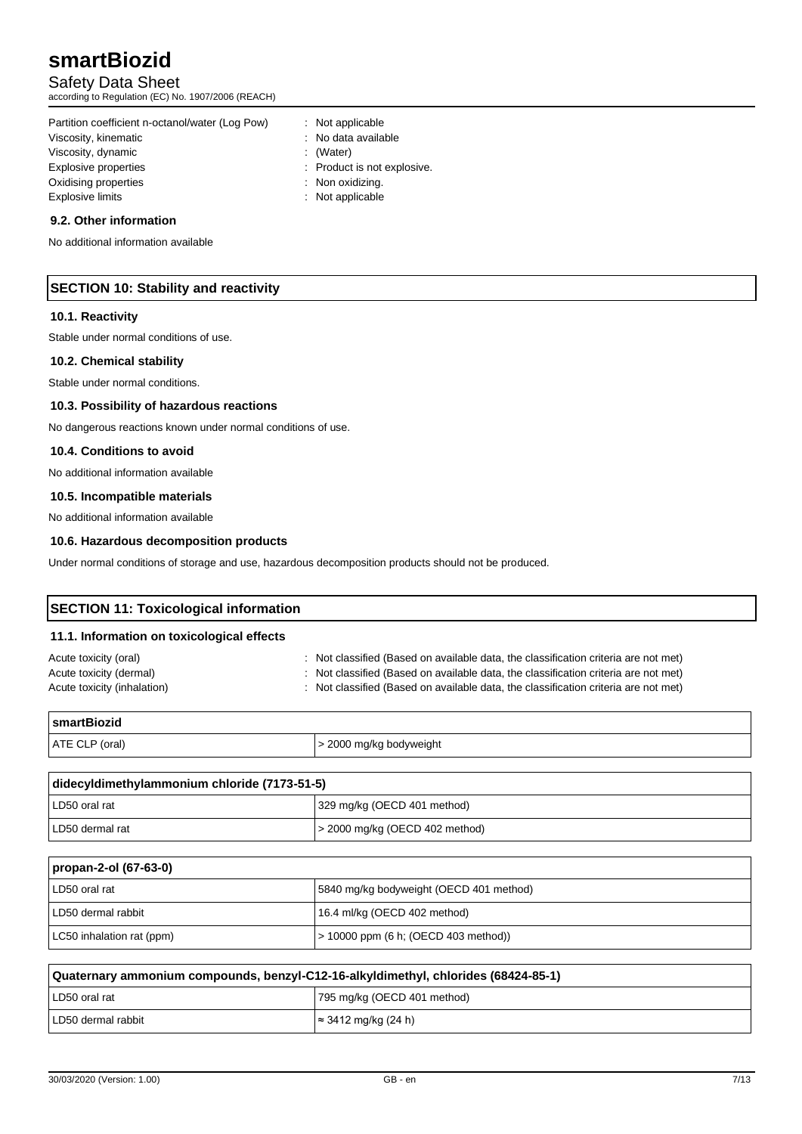Safety Data Sheet

according to Regulation (EC) No. 1907/2006 (REACH)

Partition coefficient n-octanol/water (Log Pow) : Not applicable Viscosity, kinematic **intervalse in the Contract Contract Contract Contract Contract Contract Contract Contract Contract Contract Contract Contract Contract Contract Contract Contract Contract Contract Contract Contract Co** Viscosity, dynamic intervals of the control of the control of the control of the control of the control of the control of the control of the control of the control of the control of the control of the control of the contro Explosive properties in the state of the state of the Product is not explosive. Oxidising properties : Non oxidizing. Explosive limits **Explosive Service Service Service Service Service Service Service Service Service Service Service Service Service Service Service Service Service Service Service Service Service Service Service Service Se** 

## **9.2. Other information**

No additional information available

## **SECTION 10: Stability and reactivity**

## **10.1. Reactivity**

Stable under normal conditions of use.

## **10.2. Chemical stability**

Stable under normal conditions.

### **10.3. Possibility of hazardous reactions**

No dangerous reactions known under normal conditions of use.

#### **10.4. Conditions to avoid**

No additional information available

### **10.5. Incompatible materials**

No additional information available

## **10.6. Hazardous decomposition products**

Under normal conditions of storage and use, hazardous decomposition products should not be produced.

## **SECTION 11: Toxicological information**

#### **11.1. Information on toxicological effects**

| Acute toxicity (oral)       | : Not classified (Based on available data, the classification criteria are not met) |
|-----------------------------|-------------------------------------------------------------------------------------|
| Acute toxicity (dermal)     | : Not classified (Based on available data, the classification criteria are not met) |
| Acute toxicity (inhalation) | : Not classified (Based on available data, the classification criteria are not met) |

| <b>SmartBiozid</b> |                         |
|--------------------|-------------------------|
| ATE CLP (oral)     | > 2000 mg/kg bodyweight |

| didecyldimethylammonium chloride (7173-51-5) |                                     |  |
|----------------------------------------------|-------------------------------------|--|
| LD50 oral rat                                | 329 mg/kg (OECD 401 method)         |  |
| LD50 dermal rat                              | $\geq$ 2000 mg/kg (OECD 402 method) |  |

| propan-2-ol (67-63-0)     |                                           |  |
|---------------------------|-------------------------------------------|--|
| LD50 oral rat             | 5840 mg/kg bodyweight (OECD 401 method)   |  |
| LD50 dermal rabbit        | 16.4 ml/kg (OECD 402 method)              |  |
| LC50 inhalation rat (ppm) | $\geq 10000$ ppm (6 h; (OECD 403 method)) |  |

| Quaternary ammonium compounds, benzyl-C12-16-alkyldimethyl, chlorides (68424-85-1) |                                     |
|------------------------------------------------------------------------------------|-------------------------------------|
| LD50 oral rat                                                                      | 795 mg/kg (OECD 401 method)         |
| LD50 dermal rabbit                                                                 | $\approx 3412 \text{ mg/kg}$ (24 h) |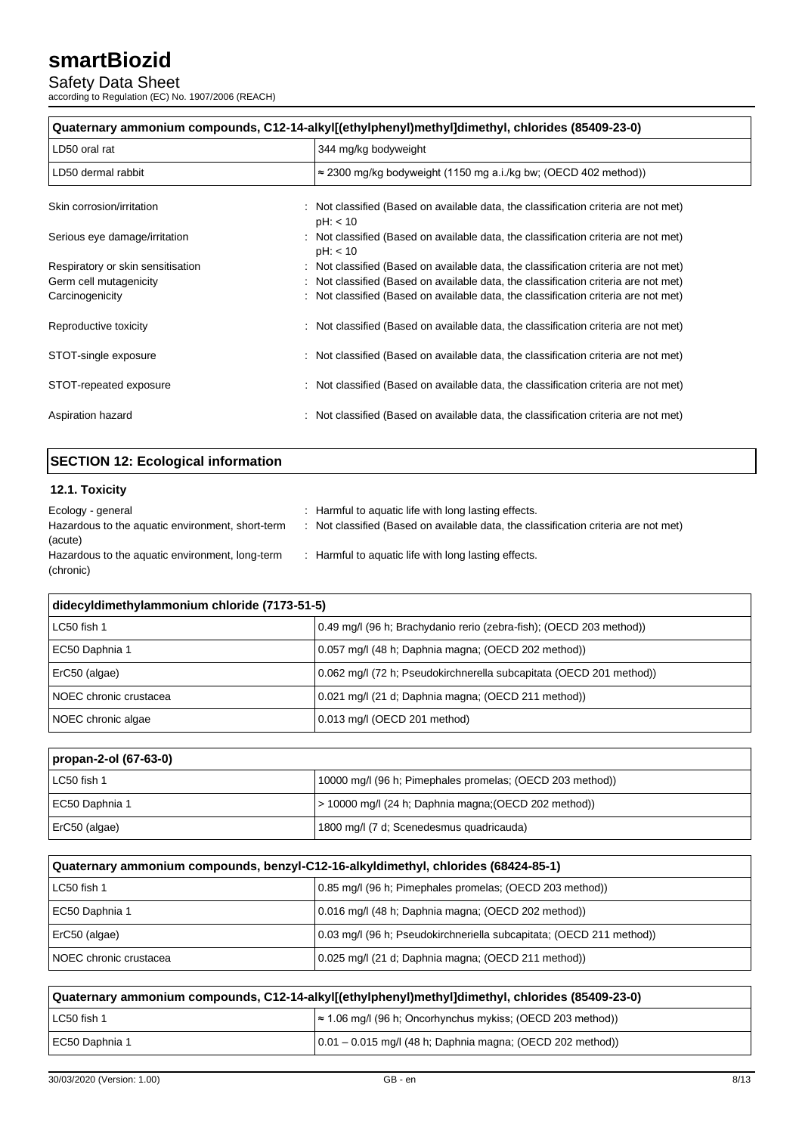## Safety Data Sheet

according to Regulation (EC) No. 1907/2006 (REACH)

| Quaternary ammonium compounds, C12-14-alkyl[(ethylphenyl)methyl]dimethyl, chlorides (85409-23-0) |  |                                                                                                 |
|--------------------------------------------------------------------------------------------------|--|-------------------------------------------------------------------------------------------------|
| LD50 oral rat                                                                                    |  | 344 mg/kg bodyweight                                                                            |
| LD50 dermal rabbit                                                                               |  | $\approx$ 2300 mg/kg bodyweight (1150 mg a.i./kg bw; (OECD 402 method))                         |
| Skin corrosion/irritation                                                                        |  | : Not classified (Based on available data, the classification criteria are not met)<br>pH: < 10 |
| Serious eye damage/irritation                                                                    |  | : Not classified (Based on available data, the classification criteria are not met)<br>pH: < 10 |
| Respiratory or skin sensitisation                                                                |  | : Not classified (Based on available data, the classification criteria are not met)             |
| Germ cell mutagenicity                                                                           |  | : Not classified (Based on available data, the classification criteria are not met)             |
| Carcinogenicity                                                                                  |  | : Not classified (Based on available data, the classification criteria are not met)             |
| Reproductive toxicity                                                                            |  | : Not classified (Based on available data, the classification criteria are not met)             |
| STOT-single exposure                                                                             |  | : Not classified (Based on available data, the classification criteria are not met)             |
| STOT-repeated exposure                                                                           |  | : Not classified (Based on available data, the classification criteria are not met)             |
| Aspiration hazard                                                                                |  | : Not classified (Based on available data, the classification criteria are not met)             |

## **SECTION 12: Ecological information**

## **12.1. Toxicity**

| Ecology - general                                | : Harmful to aquatic life with long lasting effects.                                |
|--------------------------------------------------|-------------------------------------------------------------------------------------|
| Hazardous to the aquatic environment, short-term | : Not classified (Based on available data, the classification criteria are not met) |
| (acute)                                          |                                                                                     |
| Hazardous to the aquatic environment, long-term  | : Harmful to aquatic life with long lasting effects.                                |
| (chronic)                                        |                                                                                     |

| didecyldimethylammonium chloride (7173-51-5) |                                                                     |  |
|----------------------------------------------|---------------------------------------------------------------------|--|
| LC50 fish 1                                  | 0.49 mg/l (96 h; Brachydanio rerio (zebra-fish); (OECD 203 method)) |  |
| EC50 Daphnia 1                               | 0.057 mg/l (48 h; Daphnia magna; (OECD 202 method))                 |  |
| ErC50 (algae)                                | 0.062 mg/l (72 h; Pseudokirchnerella subcapitata (OECD 201 method)) |  |
| NOEC chronic crustacea                       | 0.021 mg/l (21 d; Daphnia magna; (OECD 211 method))                 |  |
| NOEC chronic algae                           | 0.013 mg/l (OECD 201 method)                                        |  |

## **propan-2-ol (67-63-0)**

| LC50 fish 1    | 10000 mg/l (96 h; Pimephales promelas; (OECD 203 method)) |
|----------------|-----------------------------------------------------------|
| EC50 Daphnia 1 | > 10000 mg/l (24 h; Daphnia magna; (OECD 202 method))     |
| ErC50 (algae)  | 1800 mg/l (7 d; Scenedesmus quadricauda)                  |

| Quaternary ammonium compounds, benzyl-C12-16-alkyldimethyl, chlorides (68424-85-1) |                                                                      |  |
|------------------------------------------------------------------------------------|----------------------------------------------------------------------|--|
| LC50 fish 1                                                                        | 0.85 mg/l (96 h; Pimephales promelas; (OECD 203 method))             |  |
| EC50 Daphnia 1                                                                     | 0.016 mg/l (48 h; Daphnia magna; (OECD 202 method))                  |  |
| ErC50 (algae)                                                                      | 0.03 mg/l (96 h; Pseudokirchneriella subcapitata; (OECD 211 method)) |  |
| I NOEC chronic crustacea                                                           | 0.025 mg/l (21 d; Daphnia magna; (OECD 211 method))                  |  |

| Quaternary ammonium compounds, C12-14-alkyl[(ethylphenyl)methyl]dimethyl, chlorides (85409-23-0) |                                                                                                      |
|--------------------------------------------------------------------------------------------------|------------------------------------------------------------------------------------------------------|
| LC50 fish 1                                                                                      | $\approx$ 1.06 mg/l (96 h; Oncorhynchus mykiss; (OECD 203 method))                                   |
| EC50 Daphnia 1                                                                                   | $(0.01 - 0.015 \text{ mg/l} (48 \text{ h}; \text{Daphnia magna}; (\text{OECD } 202 \text{ method}))$ |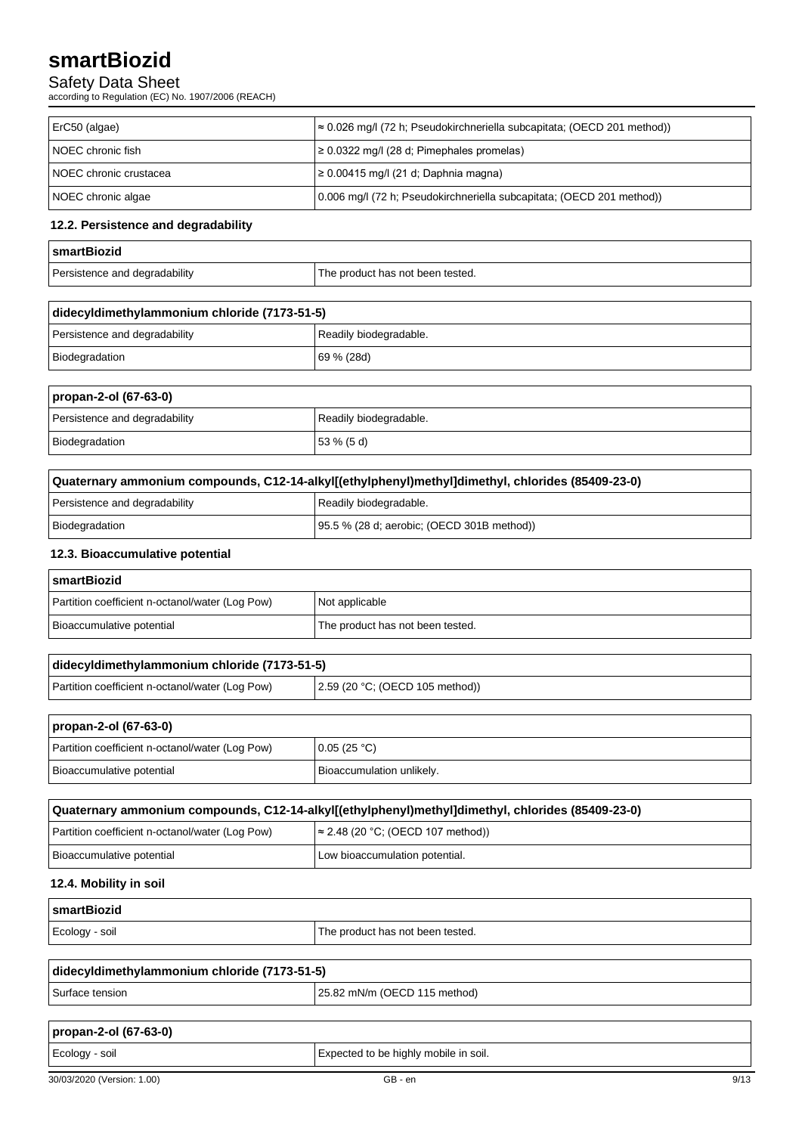## Safety Data Sheet

according to Regulation (EC) No. 1907/2006 (REACH)

| ErC50 (algae)            | ≈ 0.026 mg/l (72 h; Pseudokirchneriella subcapitata; (OECD 201 method)) |
|--------------------------|-------------------------------------------------------------------------|
| I NOEC chronic fish      | $\geq 0.0322$ mg/l (28 d; Pimephales promelas)                          |
| I NOEC chronic crustacea | $\geq 0.00415$ mg/l (21 d; Daphnia magna)                               |
| NOEC chronic algae       | 0.006 mg/l (72 h; Pseudokirchneriella subcapitata; (OECD 201 method))   |

## **12.2. Persistence and degradability**

| <b>SmartBiozid</b>            |                                  |
|-------------------------------|----------------------------------|
| Persistence and degradability | The product has not been tested. |

| didecyldimethylammonium chloride (7173-51-5) |                        |
|----------------------------------------------|------------------------|
| Persistence and degradability                | Readily biodegradable. |
| Biodegradation                               | 69 % (28d)             |

## **propan-2-ol (67-63-0)**

| Persistence and degradability | Readily biodegradable. |
|-------------------------------|------------------------|
| Biodegradation                | $53\%$ (5 d)           |

| Quaternary ammonium compounds, C12-14-alkyl[(ethylphenyl)methyl]dimethyl, chlorides (85409-23-0) |                                            |  |
|--------------------------------------------------------------------------------------------------|--------------------------------------------|--|
| Persistence and degradability                                                                    | Readily biodegradable.                     |  |
| Biodegradation                                                                                   | 95.5 % (28 d; aerobic; (OECD 301B method)) |  |

## **12.3. Bioaccumulative potential**

| <b>SmartBiozid</b>                              |                                  |  |
|-------------------------------------------------|----------------------------------|--|
| Partition coefficient n-octanol/water (Log Pow) | Not applicable                   |  |
| Bioaccumulative potential                       | The product has not been tested. |  |

| didecyldimethylammonium chloride (7173-51-5)    |                                   |
|-------------------------------------------------|-----------------------------------|
| Partition coefficient n-octanol/water (Log Pow) | (2.59 (20 °C; (OECD 105 method))) |

| propan-2-ol (67-63-0)                           |                           |  |
|-------------------------------------------------|---------------------------|--|
| Partition coefficient n-octanol/water (Log Pow) | 0.05(25 °C)               |  |
| Bioaccumulative potential                       | Bioaccumulation unlikely. |  |

| Quaternary ammonium compounds, C12-14-alkyl[(ethylphenyl)methyl]dimethyl, chlorides (85409-23-0) |                                           |  |
|--------------------------------------------------------------------------------------------------|-------------------------------------------|--|
| Partition coefficient n-octanol/water (Log Pow)                                                  | $\approx$ 2.48 (20 °C; (OECD 107 method)) |  |
| Bioaccumulative potential                                                                        | Low bioaccumulation potential.            |  |

## **12.4. Mobility in soil**

| ∣smartBiozid   |                                  |
|----------------|----------------------------------|
| Ecology - soil | The product has not been tested. |

| didecyldimethylammonium chloride (7173-51-5) |                                      |
|----------------------------------------------|--------------------------------------|
| Surface tension                              | $\vert$ 25.82 mN/m (OECD 115 method) |

| propan-2-ol (67-63-0)      |                                       |      |
|----------------------------|---------------------------------------|------|
| Ecology - soil             | Expected to be highly mobile in soil. |      |
| 30/03/2020 (Version: 1.00) | GB - en                               | 9/13 |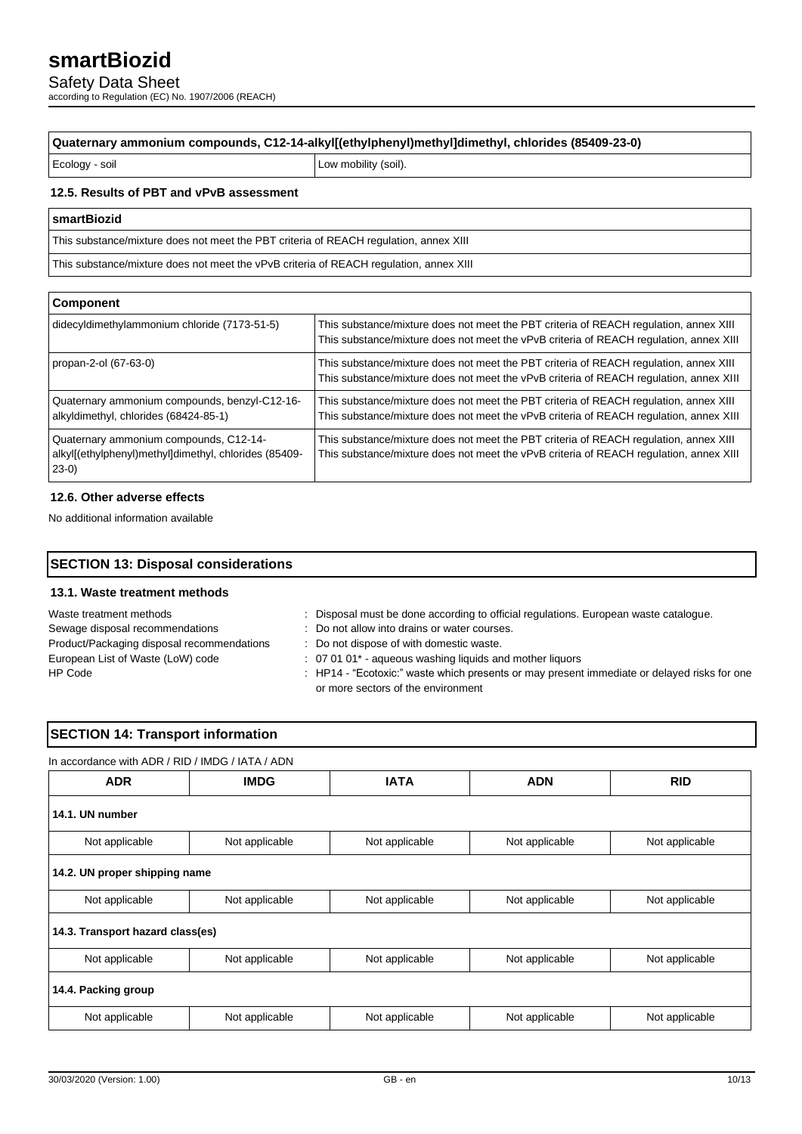Safety Data Sheet

according to Regulation (EC) No. 1907/2006 (REACH)

## **Quaternary ammonium compounds, C12-14-alkyl[(ethylphenyl)methyl]dimethyl, chlorides (85409-23-0)**

Ecology - soil **Low mobility (soil)** 

#### **12.5. Results of PBT and vPvB assessment**

### **smartBiozid**

This substance/mixture does not meet the PBT criteria of REACH regulation, annex XIII

This substance/mixture does not meet the vPvB criteria of REACH regulation, annex XIII

| Component                                                                                                  |                                                                                                                                                                                 |  |
|------------------------------------------------------------------------------------------------------------|---------------------------------------------------------------------------------------------------------------------------------------------------------------------------------|--|
| didecyldimethylammonium chloride (7173-51-5)                                                               | This substance/mixture does not meet the PBT criteria of REACH regulation, annex XIII<br>This substance/mixture does not meet the vPvB criteria of REACH regulation, annex XIII |  |
| propan-2-ol (67-63-0)                                                                                      | This substance/mixture does not meet the PBT criteria of REACH regulation, annex XIII<br>This substance/mixture does not meet the vPvB criteria of REACH regulation, annex XIII |  |
| Quaternary ammonium compounds, benzyl-C12-16-<br>alkyldimethyl, chlorides (68424-85-1)                     | This substance/mixture does not meet the PBT criteria of REACH regulation, annex XIII<br>This substance/mixture does not meet the vPvB criteria of REACH regulation, annex XIII |  |
| Quaternary ammonium compounds, C12-14-<br>alkyl[(ethylphenyl)methyl]dimethyl, chlorides (85409-<br>$23-0)$ | This substance/mixture does not meet the PBT criteria of REACH regulation, annex XIII<br>This substance/mixture does not meet the vPvB criteria of REACH regulation, annex XIII |  |

## **12.6. Other adverse effects**

No additional information available

## **SECTION 13: Disposal considerations 13.1. Waste treatment methods**

| Waste treatment methods                    | Disposal must be done according to official regulations. European waste catalogue.                                                |
|--------------------------------------------|-----------------------------------------------------------------------------------------------------------------------------------|
| Sewage disposal recommendations            | : Do not allow into drains or water courses.                                                                                      |
| Product/Packaging disposal recommendations | : Do not dispose of with domestic waste.                                                                                          |
| European List of Waste (LoW) code          | : 07 01 01* - aqueous washing liquids and mother liquors                                                                          |
| HP Code                                    | : HP14 - "Ecotoxic:" waste which presents or may present immediate or delayed risks for one<br>or more sectors of the environment |

## **SECTION 14: Transport information**

| In accordance with ADR / RID / IMDG / IATA / ADN |                |                |                |                |
|--------------------------------------------------|----------------|----------------|----------------|----------------|
| <b>ADR</b>                                       | <b>IMDG</b>    | <b>IATA</b>    | <b>ADN</b>     | <b>RID</b>     |
| 14.1. UN number                                  |                |                |                |                |
| Not applicable                                   | Not applicable | Not applicable | Not applicable | Not applicable |
| 14.2. UN proper shipping name                    |                |                |                |                |
| Not applicable                                   | Not applicable | Not applicable | Not applicable | Not applicable |
| 14.3. Transport hazard class(es)                 |                |                |                |                |
| Not applicable                                   | Not applicable | Not applicable | Not applicable | Not applicable |
| 14.4. Packing group                              |                |                |                |                |
| Not applicable                                   | Not applicable | Not applicable | Not applicable | Not applicable |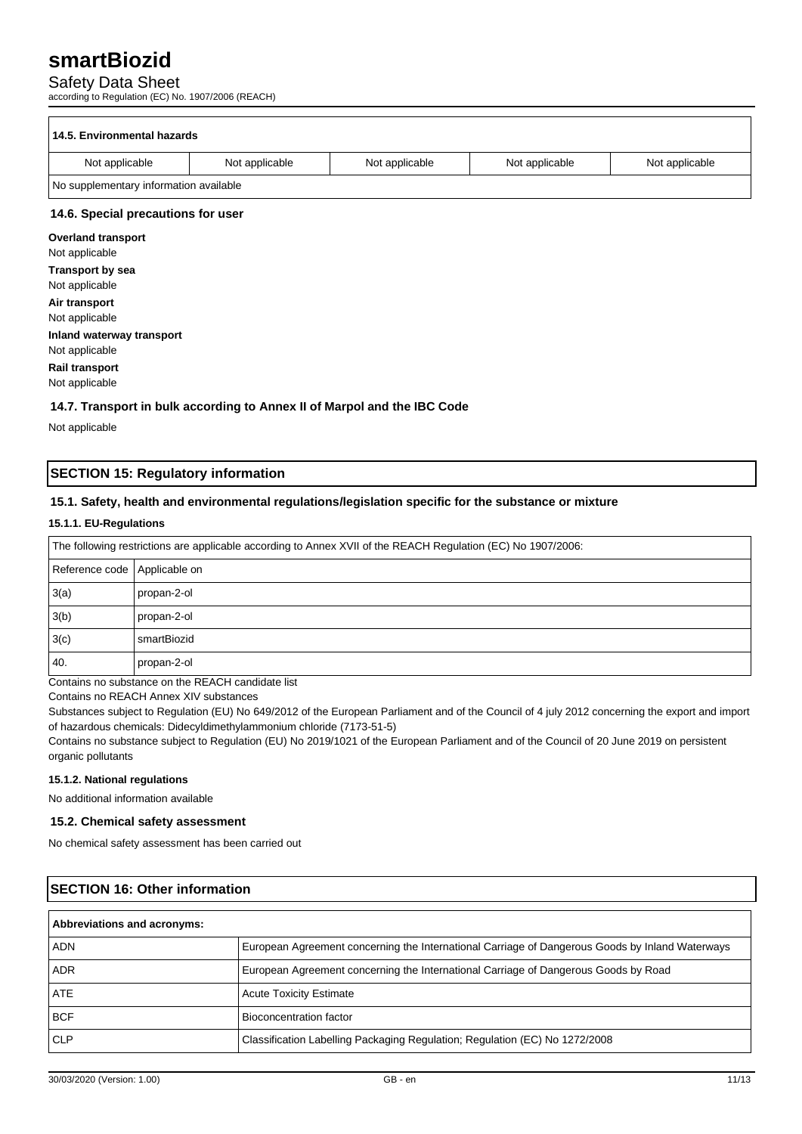## Safety Data Sheet

according to Regulation (EC) No. 1907/2006 (REACH)

| 14.5. Environmental hazards            |                |                |                |                |
|----------------------------------------|----------------|----------------|----------------|----------------|
| Not applicable                         | Not applicable | Not applicable | Not applicable | Not applicable |
| No supplementary information available |                |                |                |                |
| 14.6. Special precautions for user     |                |                |                |                |

**Overland transport** Not applicable **Transport by sea** Not applicable **Air transport** Not applicable **Inland waterway transport** Not applicable **Rail transport**

Not applicable

### **14.7. Transport in bulk according to Annex II of Marpol and the IBC Code**

Not applicable

## **SECTION 15: Regulatory information**

## **15.1. Safety, health and environmental regulations/legislation specific for the substance or mixture**

### **15.1.1. EU-Regulations**

| The following restrictions are applicable according to Annex XVII of the REACH Regulation (EC) No 1907/2006: |             |  |
|--------------------------------------------------------------------------------------------------------------|-------------|--|
| Reference code   Applicable on                                                                               |             |  |
| 3(a)                                                                                                         | propan-2-ol |  |
| 3(b)                                                                                                         | propan-2-ol |  |
| 3(c)                                                                                                         | smartBiozid |  |
| 40.                                                                                                          | propan-2-ol |  |

Contains no substance on the REACH candidate list

Contains no REACH Annex XIV substances

Substances subject to Regulation (EU) No 649/2012 of the European Parliament and of the Council of 4 july 2012 concerning the export and import of hazardous chemicals: Didecyldimethylammonium chloride (7173-51-5)

Contains no substance subject to Regulation (EU) No 2019/1021 of the European Parliament and of the Council of 20 June 2019 on persistent organic pollutants

### **15.1.2. National regulations**

No additional information available

## **15.2. Chemical safety assessment**

No chemical safety assessment has been carried out

| <b>SECTION 16: Other information</b> |                                                                                                 |  |
|--------------------------------------|-------------------------------------------------------------------------------------------------|--|
| Abbreviations and acronyms:          |                                                                                                 |  |
| <b>ADN</b>                           | European Agreement concerning the International Carriage of Dangerous Goods by Inland Waterways |  |
| ADR.                                 | European Agreement concerning the International Carriage of Dangerous Goods by Road             |  |
| <b>ATE</b>                           | <b>Acute Toxicity Estimate</b>                                                                  |  |
| <b>BCF</b>                           | Bioconcentration factor                                                                         |  |
| <b>CLP</b>                           | Classification Labelling Packaging Regulation; Regulation (EC) No 1272/2008                     |  |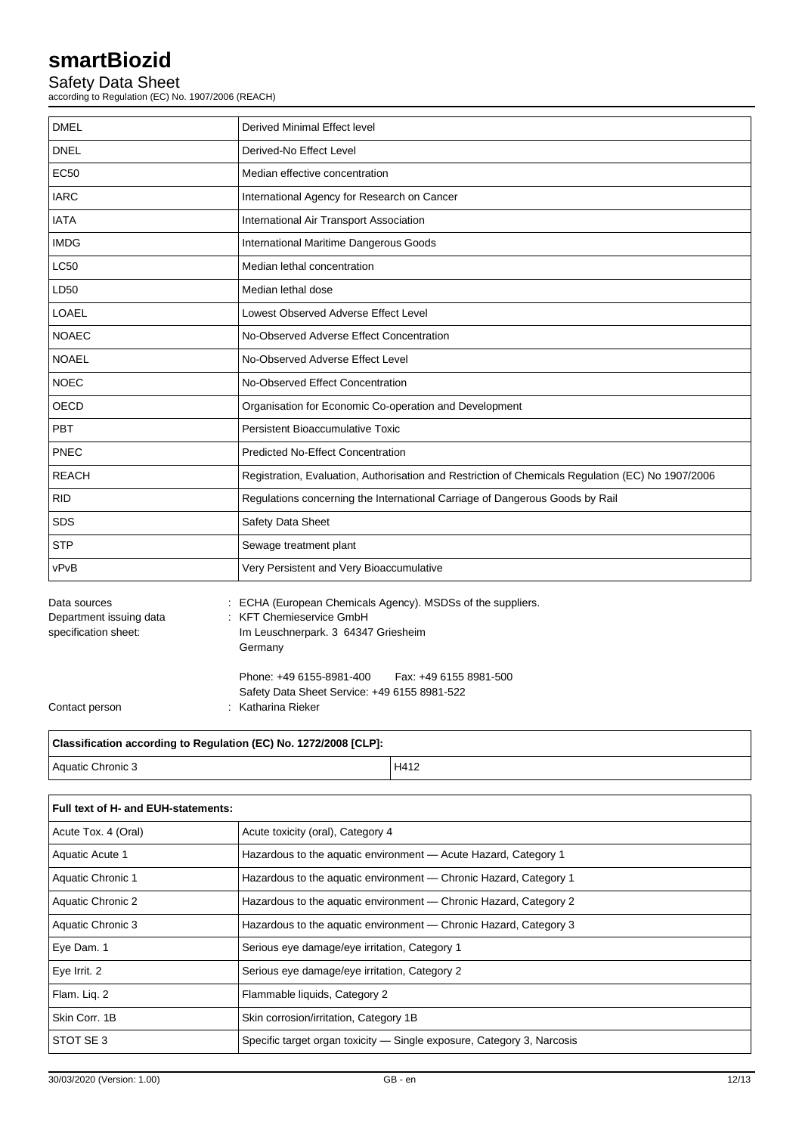## Safety Data Sheet

according to Regulation (EC) No. 1907/2006 (REACH)

| <b>DMEL</b>                                                     | Derived Minimal Effect level                                                                                                                 |  |  |
|-----------------------------------------------------------------|----------------------------------------------------------------------------------------------------------------------------------------------|--|--|
| <b>DNEL</b>                                                     | Derived-No Effect Level                                                                                                                      |  |  |
| <b>EC50</b>                                                     | Median effective concentration                                                                                                               |  |  |
| <b>IARC</b>                                                     | International Agency for Research on Cancer                                                                                                  |  |  |
| <b>IATA</b>                                                     | International Air Transport Association                                                                                                      |  |  |
| <b>IMDG</b>                                                     | International Maritime Dangerous Goods                                                                                                       |  |  |
| <b>LC50</b>                                                     | Median lethal concentration                                                                                                                  |  |  |
| LD50                                                            | Median lethal dose                                                                                                                           |  |  |
| LOAEL                                                           | Lowest Observed Adverse Effect Level                                                                                                         |  |  |
| <b>NOAEC</b>                                                    | No-Observed Adverse Effect Concentration                                                                                                     |  |  |
| <b>NOAEL</b>                                                    | No-Observed Adverse Effect Level                                                                                                             |  |  |
| <b>NOEC</b>                                                     | No-Observed Effect Concentration                                                                                                             |  |  |
| <b>OECD</b>                                                     | Organisation for Economic Co-operation and Development                                                                                       |  |  |
| PBT                                                             | Persistent Bioaccumulative Toxic                                                                                                             |  |  |
| PNEC                                                            | <b>Predicted No-Effect Concentration</b>                                                                                                     |  |  |
| <b>REACH</b>                                                    | Registration, Evaluation, Authorisation and Restriction of Chemicals Regulation (EC) No 1907/2006                                            |  |  |
| <b>RID</b>                                                      | Regulations concerning the International Carriage of Dangerous Goods by Rail                                                                 |  |  |
| <b>SDS</b>                                                      | Safety Data Sheet                                                                                                                            |  |  |
| <b>STP</b>                                                      | Sewage treatment plant                                                                                                                       |  |  |
| vPvB                                                            | Very Persistent and Very Bioaccumulative                                                                                                     |  |  |
| Data sources<br>Department issuing data<br>specification sheet: | ECHA (European Chemicals Agency). MSDSs of the suppliers.<br><b>KFT Chemieservice GmbH</b><br>Im Leuschnerpark. 3 64347 Griesheim<br>Germany |  |  |
| Contact person                                                  | Phone: +49 6155-8981-400<br>Fax: +49 6155 8981-500<br>Safety Data Sheet Service: +49 6155 8981-522<br>Katharina Rieker                       |  |  |

| Classification according to Regulation (EC) No. 1272/2008 [CLP]: |      |  |  |  |
|------------------------------------------------------------------|------|--|--|--|
| Aquatic Chronic 3                                                | H412 |  |  |  |
|                                                                  |      |  |  |  |

| Full text of H- and EUH-statements: |                                                                        |  |
|-------------------------------------|------------------------------------------------------------------------|--|
| Acute Tox. 4 (Oral)                 | Acute toxicity (oral), Category 4                                      |  |
| Aquatic Acute 1                     | Hazardous to the aquatic environment - Acute Hazard, Category 1        |  |
| Aquatic Chronic 1                   | Hazardous to the aquatic environment — Chronic Hazard, Category 1      |  |
| Aquatic Chronic 2                   | Hazardous to the aquatic environment — Chronic Hazard, Category 2      |  |
| Aquatic Chronic 3                   | Hazardous to the aquatic environment — Chronic Hazard, Category 3      |  |
| Eye Dam. 1                          | Serious eye damage/eye irritation, Category 1                          |  |
| Eye Irrit. 2                        | Serious eye damage/eye irritation, Category 2                          |  |
| Flam. Lig. 2                        | Flammable liquids, Category 2                                          |  |
| Skin Corr. 1B                       | Skin corrosion/irritation, Category 1B                                 |  |
| STOT SE 3                           | Specific target organ toxicity — Single exposure, Category 3, Narcosis |  |